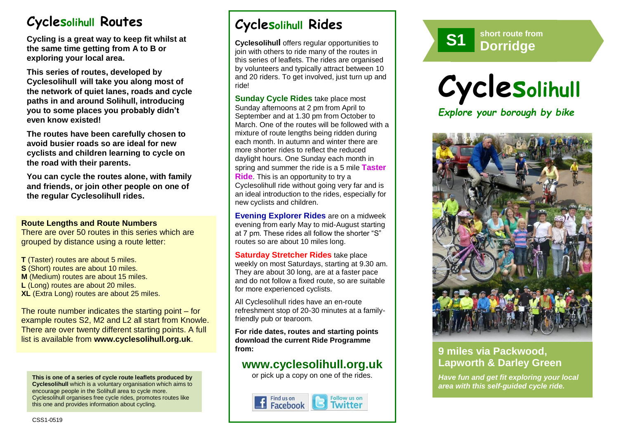# **Cyclesolihull Routes**

**Cycling is a great way to keep fit whilst at the same time getting from A to B or exploring your local area.** 

**This series of routes, developed by Cyclesolihull will take you along most of the network of quiet lanes, roads and cycle paths in and around Solihull, introducing you to some places you probably didn't even know existed!**

**The routes have been carefully chosen to avoid busier roads so are ideal for new cyclists and children learning to cycle on the road with their parents.** 

**You can cycle the routes alone, with family and friends, or join other people on one of the regular Cyclesolihull rides.**

### **Route Lengths and Route Numbers**

There are over 50 routes in this series which are grouped by distance using a route letter:

**T** (Taster) routes are about 5 miles. **S** (Short) routes are about 10 miles. **M** (Medium) routes are about 15 miles. **L** (Long) routes are about 20 miles. **XL** (Extra Long) routes are about 25 miles.

The route number indicates the starting point – for example routes S2, M2 and L2 all start from Knowle. There are over twenty different starting points. A full list is available from **www.cyclesolihull.org.uk**.

**This is one of a series of cycle route leaflets produced by Cyclesolihull** which is a voluntary organisation which aims to encourage people in the Solihull area to cycle more. Cyclesolihull organises free cycle rides, promotes routes like this one and provides information about cycling.

# **Cyclesolihull Rides**

**Cyclesolihull** offers regular opportunities to join with others to ride many of the routes in this series of leaflets. The rides are organised by volunteers and typically attract between 10 and 20 riders. To get involved, just turn up and ride!

**Sunday Cycle Rides** take place most Sunday afternoons at 2 pm from April to September and at 1.30 pm from October to March. One of the routes will be followed with a mixture of route lengths being ridden during each month. In autumn and winter there are more shorter rides to reflect the reduced daylight hours. One Sunday each month in spring and summer the ride is a 5 mile **Taster Ride**. This is an opportunity to try a Cyclesolihull ride without going very far and is an ideal introduction to the rides, especially for new cyclists and children.

**Evening Explorer Rides** are on a midweek evening from early May to mid-August starting at 7 pm. These rides all follow the shorter "S" routes so are about 10 miles long.

**Saturday Stretcher Rides** take place weekly on most Saturdays, starting at 9.30 am. They are about 30 long, are at a faster pace and do not follow a fixed route, so are suitable for more experienced cyclists.

All Cyclesolihull rides have an en-route refreshment stop of 20-30 minutes at a familyfriendly pub or tearoom.

**For ride dates, routes and starting points download the current Ride Programme from:** 

# **www.cyclesolihull.org.uk**

or pick up a copy on one of the rides.









## **9 miles via Packwood, Lapworth & Darley Green**

*Have fun and get fit exploring your local area with this self-guided cycle ride.*